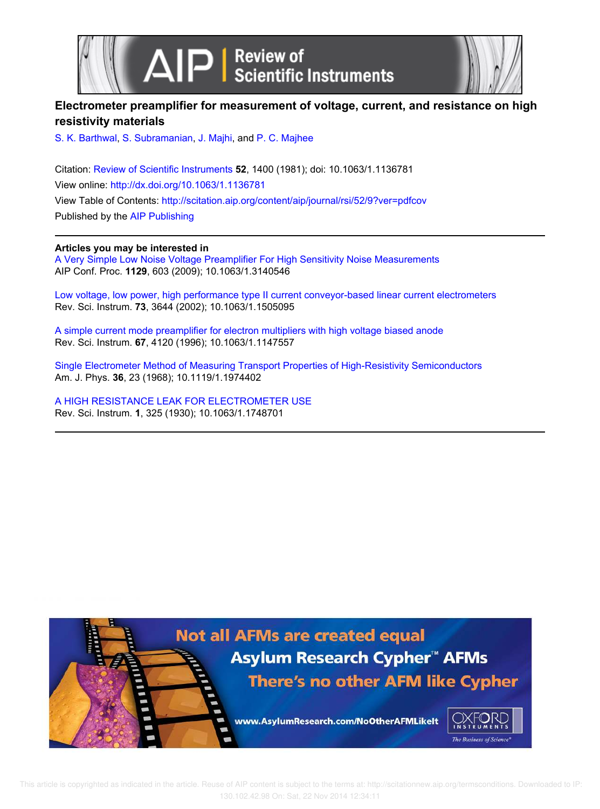



## **Electrometer preamplifier for measurement of voltage, current, and resistance on high resistivity materials**

S. K. Barthwal, S. Subramanian, J. Majhi, and P. C. Majhee

Citation: Review of Scientific Instruments **52**, 1400 (1981); doi: 10.1063/1.1136781 View online: http://dx.doi.org/10.1063/1.1136781 View Table of Contents: http://scitation.aip.org/content/aip/journal/rsi/52/9?ver=pdfcov Published by the AIP Publishing

### **Articles you may be interested in**

A Very Simple Low Noise Voltage Preamplifier For High Sensitivity Noise Measurements AIP Conf. Proc. **1129**, 603 (2009); 10.1063/1.3140546

Low voltage, low power, high performance type II current conveyor-based linear current electrometers Rev. Sci. Instrum. **73**, 3644 (2002); 10.1063/1.1505095

A simple current mode preamplifier for electron multipliers with high voltage biased anode Rev. Sci. Instrum. **67**, 4120 (1996); 10.1063/1.1147557

Single Electrometer Method of Measuring Transport Properties of High-Resistivity Semiconductors Am. J. Phys. **36**, 23 (1968); 10.1119/1.1974402

A HIGH RESISTANCE LEAK FOR ELECTROMETER USE Rev. Sci. Instrum. **1**, 325 (1930); 10.1063/1.1748701

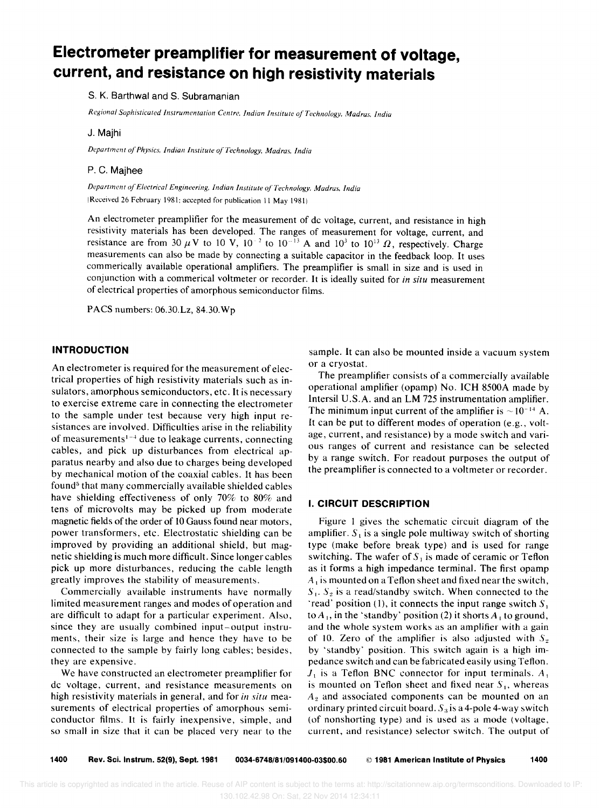# **Electrometer preamplifier for measurement of voltage, current, and resistance on high resistivity materials**

#### S. K. Barthwal and S. Subramanian

*Regional Sophisticated Instrumentation Centre. Indian Institute of Technology. Madras. India* 

#### J. Majhi

*Department of Physics. Indian Institute of Technology. Madras. India* 

#### P. C. Majhee

*Department of Electrical Engineering. Indian Institute of Technology. Madras. India*  (Received 26 February 1981; accepted for publication 11 May 1981)

An electrometer preamplifier for the measurement of dc voltage, current, and resistance in high resistivity materials has been developed. The ranges of measurement for voltage, current, and resistance are from 30  $\mu$ V to 10 V, 10<sup>-2</sup> to 10<sup>-13</sup> A and 10<sup>3</sup> to 10<sup>13</sup>  $\Omega$ , respectively. Charge measurements can also be made by connecting a suitable capacitor in the feedback loop. It uses commerically available operational amplifiers. The preamplifier is small in size and is used in conjunction with a commerical voltmeter or recorder. It is ideally suited for *in situ* measurement of electrical properties of amorphous semiconductor films.

PACS numbers: 06.30.Lz, 84.30.Wp

#### **INTRODUCTION**

An electrometer is required for the measurement of electrical properties of high resistivity materials such as insulators, amorphous semiconductors, etc. It is necessary to exercise extreme care in connecting the electrometer to the sample under test because very high input resistances are involved. Difficulties arise in the reliability of measurements<sup>1-4</sup> due to leakage currents, connecting cables, and pick up disturbances from electrical apparatus nearby and also due to charges being developed by mechanical motion of the coaxial cables. It has been found<sup>5</sup> that many commercially available shielded cables have shielding effectiveness of only 70% to 80% and tens of microvolts may be picked up from moderate magnetic fields of the order of 10 Gauss found near motors, power transformers, etc. Electrostatic shielding can be improved by providing an additional shield, but magnetic shielding is much more difficult. Since longer cables pick up more disturbances, reducing the cable length greatly improves the stability of measurements.

Commercially available instruments have normally limited measurement ranges and modes of operation and are difficult to adapt for a particular experiment. Also, since they are usually combined input-output instruments, their size is large and hence they have to be connected to the sample by fairly long cables; besides, they are expensive.

We have constructed an electrometer preamplifier for dc voltage, current, and resistance measurements on high resistivity materials in general, and for *in situ* measurements of electrical properties of amorphous semiconductor films. It is fairly inexpensive, simple, and so small in size that it can be placed very near to the sample. It can also be mounted inside a vacuum system or a cryostat.

The preamplifier consists of a commercially available operational amplifier (opamp) No. ICH 8500A made by Intersil U.S.A. and an LM 725 instrumentation amplifier. The minimum input current of the amplifier is  $\sim 10^{-14}$  A. It can be put to different modes of operation (e.g., voltage, current, and resistance) by a mode switch and various ranges of current and resistance can be selected by a range switch. For readout purposes the output of the preamplifier is connected to a voltmeter or recorder.

#### I. **CIRCUIT DESCRIPTION**

Figure I gives the schematic circuit diagram of the amplifier.  $S_1$  is a single pole multiway switch of shorting type (make before break type) and is used for range switching. The wafer of  $S_1$  is made of ceramic or Teflon as it forms a high impedance terminal. The first opamp *A*<sub>1</sub> is mounted on a Teflon sheet and fixed near the switch,  $S_1$ .  $S_2$  is a read/standby switch. When connected to the 'read' position (1), it connects the input range switch  $S_1$ to  $A_1$ , in the 'standby' position (2) it shorts  $A_1$  to ground, and the whole system works as an amplifier with a gain of 10. Zero of the amplifier is also adjusted with  $S_2$ by 'standby' position. This switch again is a high impedance switch and can be fabricated easily using Teflon.  $J_1$  is a Teflon BNC connector for input terminals.  $A_1$ is mounted on Teflon sheet and fixed near  $S<sub>1</sub>$ , whereas  $A<sub>2</sub>$  and associated components can be mounted on an ordinary printed circuit board.  $S_3$  is a 4-pole 4-way switch (of nonshorting type) and is used as a mode (voltage, current, and resistance) selector switch. The output of

1400 Rev. Sci. Instrum. 52(9), Sept. 1981 0034-6748/81/091400-03\$00.60 © 1981 American Institute of Physics 1400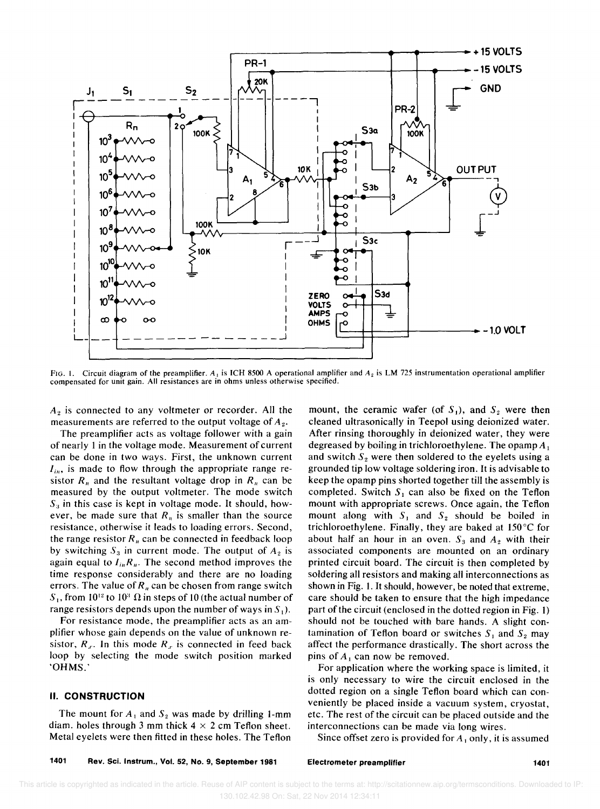

FIG. 1. Circuit diagram of the preamplifier. A<sub>1</sub> is ICH 8500 A operational amplifier and  $A_2$  is LM 725 instrumentation operational amplifier compensated for unit gain. All resistances are in ohms unless otherwise specified.

*A2* is connected to any voltmeter or recorder. All the measurements are referred to the output voltage of  $A_2$ .

The preamplifier acts as voltage follower with a gain of nearly 1 in the voltage mode. Measurement of current can be done in two ways. First, the unknown current  $I_{in}$ , is made to flow through the appropriate range resistor  $R_n$  and the resultant voltage drop in  $R_n$  can be measured by the output voltmeter. The mode switch  $S_3$  in this case is kept in voltage mode. It should, however, be made sure that  $R_n$  is smaller than the source resistance, otherwise it leads to loading errors. Second, the range resistor  $R_n$  can be connected in feedback loop by switching  $S_3$  in current mode. The output of  $A_2$  is again equal to  $I_{in}R_n$ . The second method improves the time response considerably and there are no loading errors. The value of  $R_n$  can be chosen from range switch  $S_1$ , from 10<sup>12</sup> to 10<sup>3</sup>  $\Omega$  in steps of 10 (the actual number of range resistors depends upon the number of ways in  $S_1$ ).

For resistance mode, the preamplifier acts as an amplifier whose gain depends on the value of unknown resistor,  $R_x$ . In this mode  $R_x$  is connected in feed back loop by selecting the mode switch position marked ·OHMS.'

#### II. **CONSTRUCTION**

The mount for  $A_1$  and  $S_2$  was made by drilling 1-mm diam. holes through 3 mm thick  $4 \times 2$  cm Teflon sheet. Metal eyelets were then fitted in these holes. The Teflon mount, the ceramic wafer (of  $S_1$ ), and  $S_2$  were then cleaned ultrasonically in Teepol using deionized water. After rinsing thoroughly in deionized water, they were degreased by boiling in trichloroethylene. The opamp  $A_1$ and switch  $S_2$  were then soldered to the eyelets using a grounded tip low voltage soldering iron. It is advisable to keep the opamp pins shorted together till the assembly is completed. Switch  $S_1$  can also be fixed on the Teflon mount with appropriate screws. Once again, the Teflon mount along with  $S_1$  and  $S_2$  should be boiled in trichloroethylene. Finally, they are baked at 150°C for about half an hour in an oven.  $S_3$  and  $A_2$  with their associated components are mounted on an ordinary printed circuit board. The circuit is then completed by soldering all resistors and making all interconnections as shown in Fig. 1. It should, however, be noted that extreme, care should be taken to ensure that the high impedance part of the circuit (enclosed in the dotted region in Fig. 1) should not be touched with bare hands. A slight contamination of Teflon board or switches  $S_1$  and  $S_2$  may affect the performance drastically. The short across the pins of  $A_1$  can now be removed.

For application where the working space is limited, it is only necessary to wire the circuit enclosed in the dotted region on a single Teflon board which can conveniently be placed inside a vacuum system, cryostat, etc. The rest of the circuit can be placed outside and the interconnections can be made via long wires.

Since offset zero is provided for  $A_1$  only, it is assumed

Electrometer preamplifier 1401